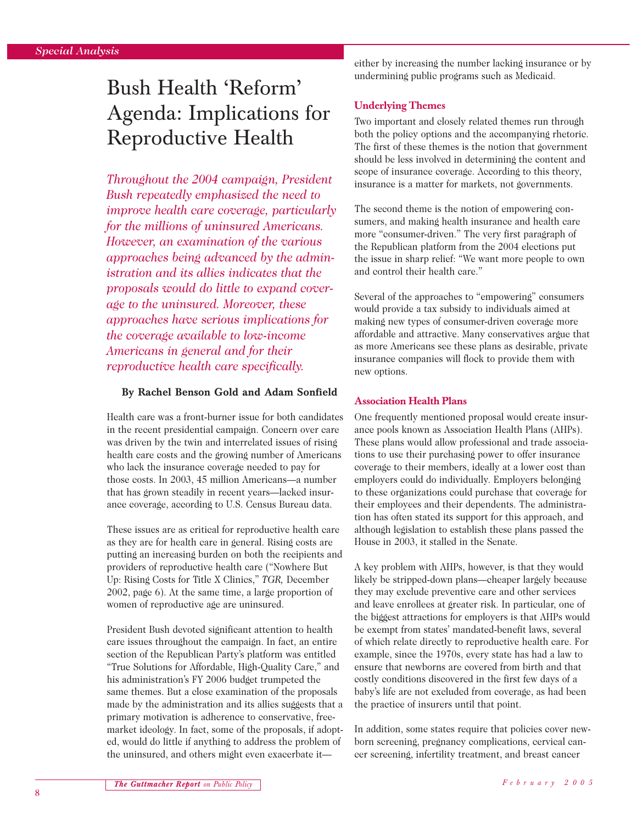# Bush Health 'Reform' Agenda: Implications for Reproductive Health

*Throughout the 2004 campaign, President Bush repeatedly emphasized the need to improve health care coverage, particularly for the millions of uninsured Americans. However, an examination of the various approaches being advanced by the administration and its allies indicates that the proposals would do little to expand coverage to the uninsured. Moreover, these approaches have serious implications for the coverage available to low-income Americans in general and for their reproductive health care specifically.*

#### **By Rachel Benson Gold and Adam Sonfield**

Health care was a front-burner issue for both candidates in the recent presidential campaign. Concern over care was driven by the twin and interrelated issues of rising health care costs and the growing number of Americans who lack the insurance coverage needed to pay for those costs. In 2003, 45 million Americans—a number that has grown steadily in recent years—lacked insurance coverage, according to U.S. Census Bureau data.

These issues are as critical for reproductive health care as they are for health care in general. Rising costs are putting an increasing burden on both the recipients and providers of reproductive health care ("Nowhere But Up: Rising Costs for Title X Clinics," *TGR,* December 2002, page 6). At the same time, a large proportion of women of reproductive age are uninsured.

President Bush devoted significant attention to health care issues throughout the campaign. In fact, an entire section of the Republican Party's platform was entitled "True Solutions for Affordable, High-Quality Care," and his administration's FY 2006 budget trumpeted the same themes. But a close examination of the proposals made by the administration and its allies suggests that a primary motivation is adherence to conservative, freemarket ideology. In fact, some of the proposals, if adopted, would do little if anything to address the problem of the uninsured, and others might even exacerbate iteither by increasing the number lacking insurance or by undermining public programs such as Medicaid.

## **Underlying Themes**

Two important and closely related themes run through both the policy options and the accompanying rhetoric. The first of these themes is the notion that government should be less involved in determining the content and scope of insurance coverage. According to this theory, insurance is a matter for markets, not governments.

The second theme is the notion of empowering consumers, and making health insurance and health care more "consumer-driven." The very first paragraph of the Republican platform from the 2004 elections put the issue in sharp relief: "We want more people to own and control their health care."

Several of the approaches to "empowering" consumers would provide a tax subsidy to individuals aimed at making new types of consumer-driven coverage more affordable and attractive. Many conservatives argue that as more Americans see these plans as desirable, private insurance companies will flock to provide them with new options.

## **Association Health Plans**

One frequently mentioned proposal would create insurance pools known as Association Health Plans (AHPs). These plans would allow professional and trade associations to use their purchasing power to offer insurance coverage to their members, ideally at a lower cost than employers could do individually. Employers belonging to these organizations could purchase that coverage for their employees and their dependents. The administration has often stated its support for this approach, and although legislation to establish these plans passed the House in 2003, it stalled in the Senate.

A key problem with AHPs, however, is that they would likely be stripped-down plans—cheaper largely because they may exclude preventive care and other services and leave enrollees at greater risk. In particular, one of the biggest attractions for employers is that AHPs would be exempt from states' mandated-benefit laws, several of which relate directly to reproductive health care. For example, since the 1970s, every state has had a law to ensure that newborns are covered from birth and that costly conditions discovered in the first few days of a baby's life are not excluded from coverage, as had been the practice of insurers until that point.

In addition, some states require that policies cover newborn screening, pregnancy complications, cervical cancer screening, infertility treatment, and breast cancer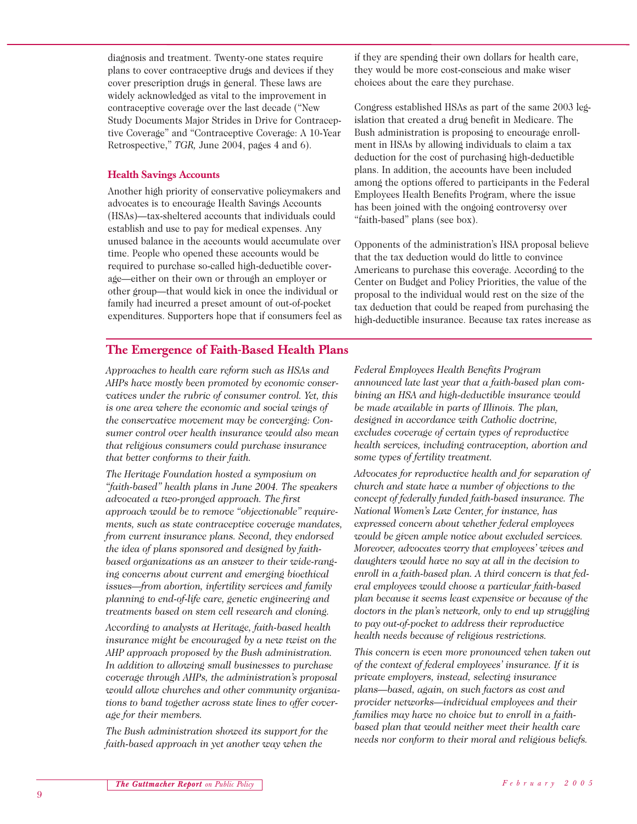diagnosis and treatment. Twenty-one states require plans to cover contraceptive drugs and devices if they cover prescription drugs in general. These laws are widely acknowledged as vital to the improvement in contraceptive coverage over the last decade ("New Study Documents Major Strides in Drive for Contraceptive Coverage" and "Contraceptive Coverage: A 10-Year Retrospective," *TGR,* June 2004, pages 4 and 6).

#### **Health Savings Accounts**

Another high priority of conservative policymakers and advocates is to encourage Health Savings Accounts (HSAs)—tax-sheltered accounts that individuals could establish and use to pay for medical expenses. Any unused balance in the accounts would accumulate over time. People who opened these accounts would be required to purchase so-called high-deductible coverage—either on their own or through an employer or other group—that would kick in once the individual or family had incurred a preset amount of out-of-pocket expenditures. Supporters hope that if consumers feel as if they are spending their own dollars for health care, they would be more cost-conscious and make wiser choices about the care they purchase.

Congress established HSAs as part of the same 2003 legislation that created a drug benefit in Medicare. The Bush administration is proposing to encourage enrollment in HSAs by allowing individuals to claim a tax deduction for the cost of purchasing high-deductible plans. In addition, the accounts have been included among the options offered to participants in the Federal Employees Health Benefits Program, where the issue has been joined with the ongoing controversy over "faith-based" plans (see box).

Opponents of the administration's HSA proposal believe that the tax deduction would do little to convince Americans to purchase this coverage. According to the Center on Budget and Policy Priorities, the value of the proposal to the individual would rest on the size of the tax deduction that could be reaped from purchasing the high-deductible insurance. Because tax rates increase as

# **The Emergence of Faith-Based Health Plans**

*Approaches to health care reform such as HSAs and AHPs have mostly been promoted by economic conservatives under the rubric of consumer control. Yet, this is one area where the economic and social wings of the conservative movement may be converging: Consumer control over health insurance would also mean that religious consumers could purchase insurance that better conforms to their faith.*

*The Heritage Foundation hosted a symposium on "faith-based" health plans in June 2004. The speakers advocated a two-pronged approach. The first approach would be to remove "objectionable" requirements, such as state contraceptive coverage mandates, from current insurance plans. Second, they endorsed the idea of plans sponsored and designed by faithbased organizations as an answer to their wide-ranging concerns about current and emerging bioethical issues—from abortion, infertility services and family planning to end-of-life care, genetic engineering and treatments based on stem cell research and cloning.*

*According to analysts at Heritage, faith-based health insurance might be encouraged by a new twist on the AHP approach proposed by the Bush administration. In addition to allowing small businesses to purchase coverage through AHPs, the administration's proposal would allow churches and other community organizations to band together across state lines to offer coverage for their members.*

*The Bush administration showed its support for the faith-based approach in yet another way when the*

*Federal Employees Health Benefits Program announced late last year that a faith-based plan combining an HSA and high-deductible insurance would be made available in parts of Illinois. The plan, designed in accordance with Catholic doctrine, excludes coverage of certain types of reproductive health services, including contraception, abortion and some types of fertility treatment.*

*Advocates for reproductive health and for separation of church and state have a number of objections to the concept of federally funded faith-based insurance. The National Women's Law Center, for instance, has expressed concern about whether federal employees would be given ample notice about excluded services. Moreover, advocates worry that employees' wives and daughters would have no say at all in the decision to enroll in a faith-based plan. A third concern is that federal employees would choose a particular faith-based plan because it seems least expensive or because of the doctors in the plan's network, only to end up struggling to pay out-of-pocket to address their reproductive health needs because of religious restrictions.*

*This concern is even more pronounced when taken out of the context of federal employees' insurance. If it is private employers, instead, selecting insurance plans—based, again, on such factors as cost and provider networks—individual employees and their families may have no choice but to enroll in a faithbased plan that would neither meet their health care needs nor conform to their moral and religious beliefs.*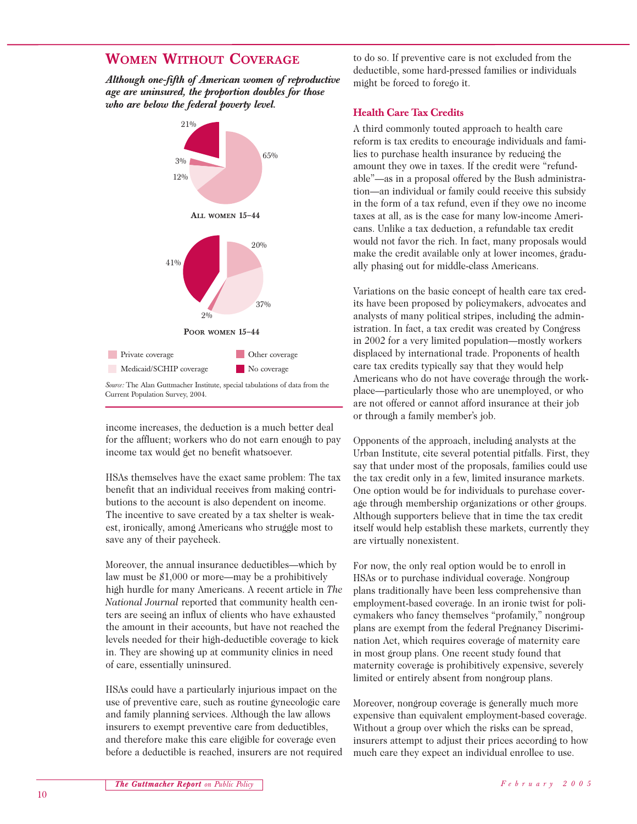# **WOMEN WITHOUT COVERAGE**

*Although one-fifth of American women of reproductive age are uninsured, the proportion doubles for those who are below the federal poverty level.*



income increases, the deduction is a much better deal for the affluent; workers who do not earn enough to pay income tax would get no benefit whatsoever.

HSAs themselves have the exact same problem: The tax benefit that an individual receives from making contributions to the account is also dependent on income. The incentive to save created by a tax shelter is weakest, ironically, among Americans who struggle most to save any of their paycheck.

Moreover, the annual insurance deductibles—which by law must be \$1,000 or more—may be a prohibitively high hurdle for many Americans. A recent article in *The National Journal* reported that community health centers are seeing an influx of clients who have exhausted the amount in their accounts, but have not reached the levels needed for their high-deductible coverage to kick in. They are showing up at community clinics in need of care, essentially uninsured.

HSAs could have a particularly injurious impact on the use of preventive care, such as routine gynecologic care and family planning services. Although the law allows insurers to exempt preventive care from deductibles, and therefore make this care eligible for coverage even before a deductible is reached, insurers are not required to do so. If preventive care is not excluded from the deductible, some hard-pressed families or individuals might be forced to forego it.

#### **Health Care Tax Credits**

A third commonly touted approach to health care reform is tax credits to encourage individuals and families to purchase health insurance by reducing the amount they owe in taxes. If the credit were "refundable"—as in a proposal offered by the Bush administration—an individual or family could receive this subsidy in the form of a tax refund, even if they owe no income taxes at all, as is the case for many low-income Americans. Unlike a tax deduction, a refundable tax credit would not favor the rich. In fact, many proposals would make the credit available only at lower incomes, gradually phasing out for middle-class Americans.

Variations on the basic concept of health care tax credits have been proposed by policymakers, advocates and analysts of many political stripes, including the administration. In fact, a tax credit was created by Congress in 2002 for a very limited population—mostly workers displaced by international trade. Proponents of health care tax credits typically say that they would help Americans who do not have coverage through the workplace—particularly those who are unemployed, or who are not offered or cannot afford insurance at their job or through a family member's job.

Opponents of the approach, including analysts at the Urban Institute, cite several potential pitfalls. First, they say that under most of the proposals, families could use the tax credit only in a few, limited insurance markets. One option would be for individuals to purchase coverage through membership organizations or other groups. Although supporters believe that in time the tax credit itself would help establish these markets, currently they are virtually nonexistent.

For now, the only real option would be to enroll in HSAs or to purchase individual coverage. Nongroup plans traditionally have been less comprehensive than employment-based coverage. In an ironic twist for policymakers who fancy themselves "profamily," nongroup plans are exempt from the federal Pregnancy Discrimination Act, which requires coverage of maternity care in most group plans. One recent study found that maternity coverage is prohibitively expensive, severely limited or entirely absent from nongroup plans.

Moreover, nongroup coverage is generally much more expensive than equivalent employment-based coverage. Without a group over which the risks can be spread, insurers attempt to adjust their prices according to how much care they expect an individual enrollee to use.